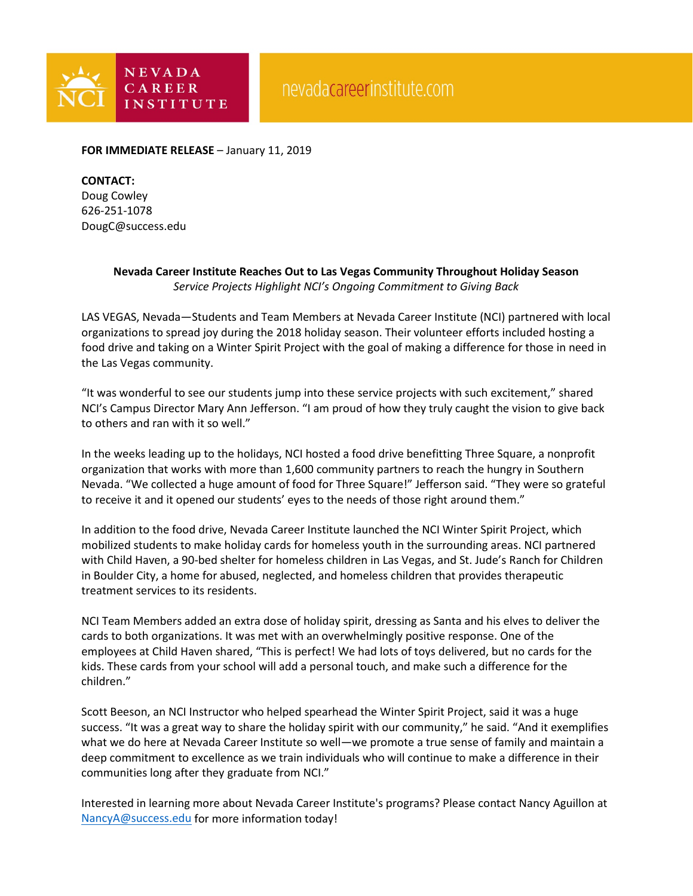

**FOR IMMEDIATE RELEASE** – January 11, 2019

## **CONTACT:**

Doug Cowley 626-251-1078 DougC@success.edu

## **Nevada Career Institute Reaches Out to Las Vegas Community Throughout Holiday Season** *Service Projects Highlight NCI's Ongoing Commitment to Giving Back*

LAS VEGAS, Nevada—Students and Team Members at Nevada Career Institute (NCI) partnered with local organizations to spread joy during the 2018 holiday season. Their volunteer efforts included hosting a food drive and taking on a Winter Spirit Project with the goal of making a difference for those in need in the Las Vegas community.

"It was wonderful to see our students jump into these service projects with such excitement," shared NCI's Campus Director Mary Ann Jefferson. "I am proud of how they truly caught the vision to give back to others and ran with it so well."

In the weeks leading up to the holidays, NCI hosted a food drive benefitting Three Square, a nonprofit organization that works with more than 1,600 community partners to reach the hungry in Southern Nevada. "We collected a huge amount of food for Three Square!" Jefferson said. "They were so grateful to receive it and it opened our students' eyes to the needs of those right around them."

In addition to the food drive, Nevada Career Institute launched the NCI Winter Spirit Project, which mobilized students to make holiday cards for homeless youth in the surrounding areas. NCI partnered with Child Haven, a 90-bed shelter for homeless children in Las Vegas, and St. Jude's Ranch for Children in Boulder City, a home for abused, neglected, and homeless children that provides therapeutic treatment services to its residents.

NCI Team Members added an extra dose of holiday spirit, dressing as Santa and his elves to deliver the cards to both organizations. It was met with an overwhelmingly positive response. One of the employees at Child Haven shared, "This is perfect! We had lots of toys delivered, but no cards for the kids. These cards from your school will add a personal touch, and make such a difference for the children."

Scott Beeson, an NCI Instructor who helped spearhead the Winter Spirit Project, said it was a huge success. "It was a great way to share the holiday spirit with our community," he said. "And it exemplifies what we do here at Nevada Career Institute so well—we promote a true sense of family and maintain a deep commitment to excellence as we train individuals who will continue to make a difference in their communities long after they graduate from NCI."

Interested in learning more about Nevada Career Institute's programs? Please contact Nancy Aguillon at [NancyA@success.edu](mailto:NancyA@success.edu) for more information today!